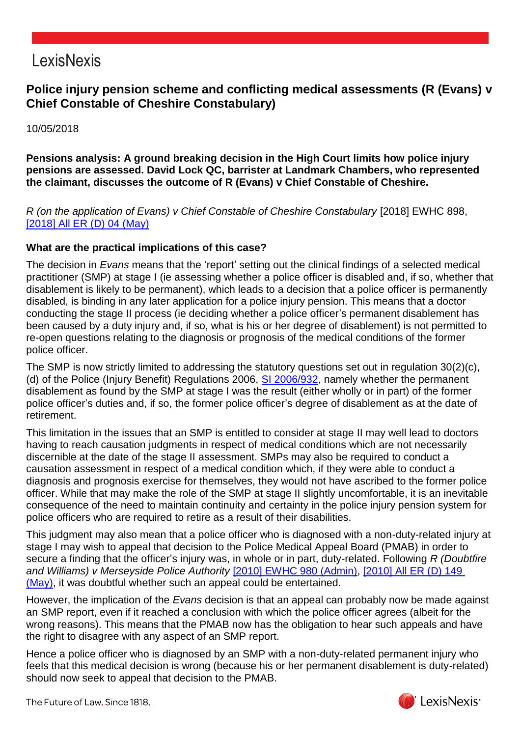# LexisNexis

## **Police injury pension scheme and conflicting medical assessments (R (Evans) v Chief Constable of Cheshire Constabulary)**

10/05/2018

**Pensions analysis: A ground breaking decision in the High Court limits how police injury pensions are assessed. David Lock QC, barrister at Landmark Chambers, who represented the claimant, discusses the outcome of R (Evans) v Chief Constable of Cheshire.**

*R (on the application of Evans) v Chief Constable of Cheshire Constabulary* [2018] EWHC 898, [\[2018\] All ER \(D\) 04 \(May\)](https://www.lexisnexis.com/uk/lexispsl/pensions/citationlinkHandler.faces?bct=A&service=citation&risb=&ALLERD&$sel1!%252018%25$year!%252018%25$sel2!%2505%25$vol!%2505%25$page!%2504%25)

#### **What are the practical implications of this case?**

The decision in *Evans* means that the 'report' setting out the clinical findings of a selected medical practitioner (SMP) at stage I (ie assessing whether a police officer is disabled and, if so, whether that disablement is likely to be permanent), which leads to a decision that a police officer is permanently disabled, is binding in any later application for a police injury pension. This means that a doctor conducting the stage II process (ie deciding whether a police officer's permanent disablement has been caused by a duty injury and, if so, what is his or her degree of disablement) is not permitted to re-open questions relating to the diagnosis or prognosis of the medical conditions of the former police officer.

The SMP is now strictly limited to addressing the statutory questions set out in regulation 30(2)(c), (d) of the Police (Injury Benefit) Regulations 2006, [SI 2006/932,](https://www.lexisnexis.com/uk/lexispsl/pensions/citationlinkHandler.faces?bct=A&service=citation&risb=&UK_SI&$num!%252006_932s_Title%25) namely whether the permanent disablement as found by the SMP at stage I was the result (either wholly or in part) of the former police officer's duties and, if so, the former police officer's degree of disablement as at the date of retirement.

This limitation in the issues that an SMP is entitled to consider at stage II may well lead to doctors having to reach causation judgments in respect of medical conditions which are not necessarily discernible at the date of the stage II assessment. SMPs may also be required to conduct a causation assessment in respect of a medical condition which, if they were able to conduct a diagnosis and prognosis exercise for themselves, they would not have ascribed to the former police officer. While that may make the role of the SMP at stage II slightly uncomfortable, it is an inevitable consequence of the need to maintain continuity and certainty in the police injury pension system for police officers who are required to retire as a result of their disabilities.

This judgment may also mean that a police officer who is diagnosed with a non-duty-related injury at stage I may wish to appeal that decision to the Police Medical Appeal Board (PMAB) in order to secure a finding that the officer's injury was, in whole or in part, duty-related. Following *R (Doubtfire and Williams) v Merseyside Police Authority* [\[2010\] EWHC 980 \(Admin\),](https://www.lexisnexis.com/uk/lexispsl/pensions/citationlinkHandler.faces?bct=A&service=citation&risb=&EWHCADMIN&$sel1!%252010%25$year!%252010%25$page!%25980%25) [2010] All [ER \(D\) 149](https://www.lexisnexis.com/uk/lexispsl/pensions/citationlinkHandler.faces?bct=A&service=citation&risb=&ALLERD&$sel1!%252010%25$year!%252010%25$sel2!%2505%25$vol!%2505%25$page!%25149%25)  [\(May\),](https://www.lexisnexis.com/uk/lexispsl/pensions/citationlinkHandler.faces?bct=A&service=citation&risb=&ALLERD&$sel1!%252010%25$year!%252010%25$sel2!%2505%25$vol!%2505%25$page!%25149%25) it was doubtful whether such an appeal could be entertained.

However, the implication of the *Evans* decision is that an appeal can probably now be made against an SMP report, even if it reached a conclusion with which the police officer agrees (albeit for the wrong reasons). This means that the PMAB now has the obligation to hear such appeals and have the right to disagree with any aspect of an SMP report.

Hence a police officer who is diagnosed by an SMP with a non-duty-related permanent injury who feels that this medical decision is wrong (because his or her permanent disablement is duty-related) should now seek to appeal that decision to the PMAB.